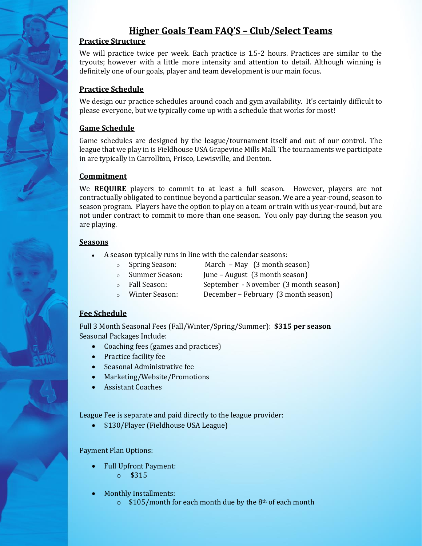# **Higher Goals Team FAQ'S – Club/Select Teams**

## **Practice Structure**

We will practice twice per week. Each practice is 1.5-2 hours. Practices are similar to the tryouts; however with a little more intensity and attention to detail. Although winning is definitely one of our goals, player and team development is our main focus.

## **Practice Schedule**

We design our practice schedules around coach and gym availability. It's certainly difficult to please everyone, but we typically come up with a schedule that works for most!

## **Game Schedule**

Game schedules are designed by the league/tournament itself and out of our control. The league that we play in is Fieldhouse USA Grapevine Mills Mall. The tournaments we participate in are typically in Carrollton, Frisco, Lewisville, and Denton.

#### **Commitment**

We **REQUIRE** players to commit to at least a full season. However, players are not contractually obligated to continue beyond a particular season. We are a year-round, season to season program. Players have the option to play on a team or train with us year-round, but are not under contract to commit to more than one season. You only pay during the season you are playing.

#### **Seasons**

- A season typically runs in line with the calendar seasons:
	-
	- o Spring Season: March May (3 month season)
	- o Summer Season: June August (3 month season)
	- o Fall Season: September November (3 month season)
	- o Winter Season: December February (3 month season)

#### **Fee Schedule**

Full 3 Month Seasonal Fees (Fall/Winter/Spring/Summer): **\$315 per season**  Seasonal Packages Include:

- Coaching fees (games and practices)
- Practice facility fee
- Seasonal Administrative fee
- Marketing/Website/Promotions
- Assistant Coaches

League Fee is separate and paid directly to the league provider:

• \$130/Player (Fieldhouse USA League)

#### Payment Plan Options:

- Full Upfront Payment: o \$315
- Monthly Installments:
	- $\circ$  \$105/month for each month due by the 8<sup>th</sup> of each month